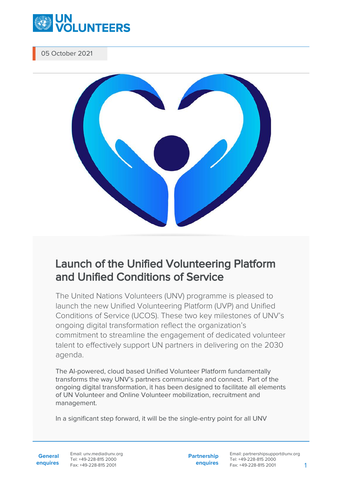

05 October 2021



## Launch of the Unified Volunteering Platform and Unified Conditions of Service

The United Nations Volunteers (UNV) programme is pleased to launch the new Unified Volunteering Platform (UVP) and Unified Conditions of Service (UCOS). These two key milestones of UNV's ongoing digital transformation reflect the organization's commitment to streamline the engagement of dedicated volunteer talent to effectively support UN partners in delivering on the 2030 agenda.

The AI-powered, cloud based Unified Volunteer Platform fundamentally transforms the way UNV's partners communicate and connect. Part of the ongoing digital transformation, it has been designed to facilitate all elements of UN Volunteer and Online Volunteer mobilization, recruitment and management.

In a significant step forward, it will be the single-entry point for all UNV

**General enquires** Email: unv.media@unv.org Tel: +49-228-815 2000 Fax: +49-228-815 2001

**Partnership enquires**

Email: partnershipsupport@unv.org Tel: +49-228-815 2000 Fax: +49-228-815 2001 1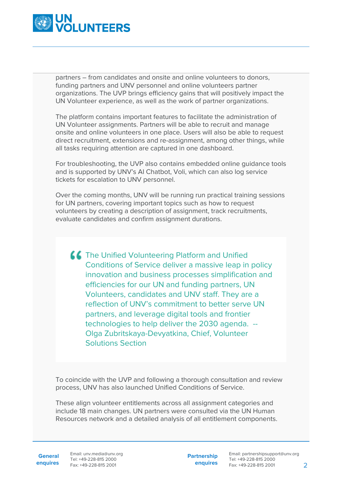

partners – from candidates and onsite and online volunteers to donors, funding partners and UNV personnel and online volunteers partner organizations. The UVP brings efficiency gains that will positively impact the UN Volunteer experience, as well as the work of partner organizations.

The platform contains important features to facilitate the administration of UN Volunteer assignments. Partners will be able to recruit and manage onsite and online volunteers in one place. Users will also be able to request direct recruitment, extensions and re-assignment, among other things, while all tasks requiring attention are captured in one dashboard.

For troubleshooting, the UVP also contains embedded online guidance tools and is supported by UNV's AI Chatbot, Voli, which can also log service tickets for escalation to UNV personnel.

Over the coming months, UNV will be running run practical training sessions for UN partners, covering important topics such as how to request volunteers by creating a description of assignment, track recruitments, evaluate candidates and confirm assignment durations.

**CC** The Unified Volunteering Platform and Unified Conditions of Service deliver a massive leap in policy innovation and business processes simplification and efficiencies for our UN and funding partners, UN Volunteers, candidates and UNV staff. They are a reflection of UNV's commitment to better serve UN partners, and leverage digital tools and frontier technologies to help deliver the 2030 agenda. -- Olga Zubritskaya-Devyatkina, Chief, Volunteer Solutions Section

To coincide with the UVP and following a thorough consultation and review process, UNV has also launched Unified Conditions of Service.

These align volunteer entitlements across all assignment categories and include 18 main changes. UN partners were consulted via the UN Human Resources network and a detailed analysis of all entitlement components.

General Email: unv.media@unv.org **enquires** Fax: +49-228-815 2001 Tel: +49-228-815 2000

**Partnership enquires** Email: partnershipsupport@unv.org Tel: +49-228-815 2000 Fax: +49-228-815 2001 2